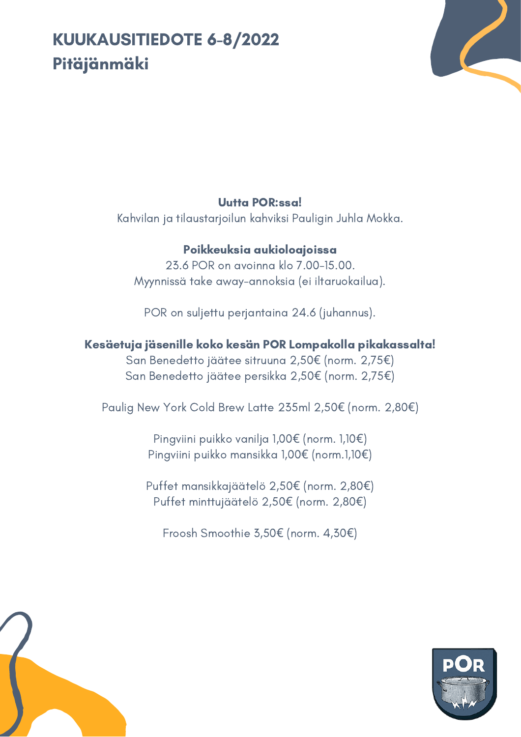# KUUKAUSITIEDOTE 6-8/2022 Pitäjänmäki



#### Uutta POR:ssa!

Kahvilan ja tilaustarjoilun kahviksi Pauligin Juhla Mokka.

### Poikkeuksia aukioloajoissa

23.6 POR on avoinna klo 7.00-15.00. Myynnissä take away-annoksia (ei iltaruokailua).

POR on suljettu perjantaina 24.6 (juhannus).

## Kesäetuja jäsenille koko kesän POR Lompakolla pikakassalta!

San Benedetto jäätee sitruuna 2,50€ (norm. 2,75€) San Benedetto jäätee persikka 2,50€ (norm. 2,75€)

Paulig New York Cold Brew Latte 235ml 2,50€ (norm. 2,80€)

Pingviini puikko vanilja 1,00€ (norm. 1,10€) Pingviini puikko mansikka 1,00€ (norm.1,10€)

Puffet mansikkajäätelö 2,50€ (norm. 2,80€) Puffet minttujäätelö 2,50€ (norm. 2,80€)

Froosh Smoothie 3,50€ (norm. 4,30€)